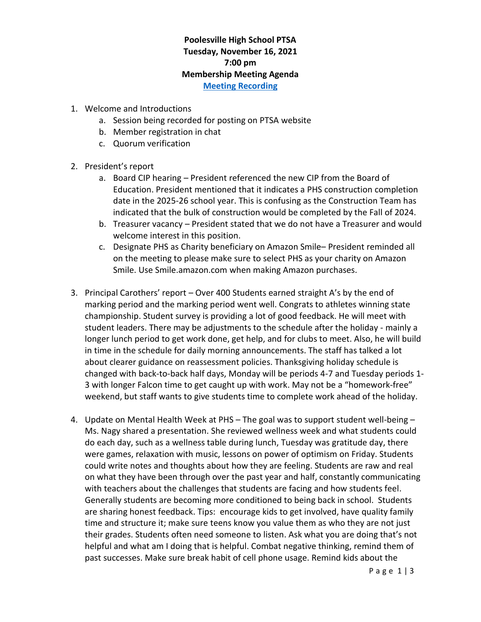## **Poolesville High School PTSA Tuesday, November 16, 2021 7:00 pm Membership Meeting Agenda [Meeting Recording](https://www.poolesvillehighschoolptsa.org/ptsa-minutes)**

- 1. Welcome and Introductions
	- a. Session being recorded for posting on PTSA website
	- b. Member registration in chat
	- c. Quorum verification
- 2. President's report
	- a. Board CIP hearing President referenced the new CIP from the Board of Education. President mentioned that it indicates a PHS construction completion date in the 2025-26 school year. This is confusing as the Construction Team has indicated that the bulk of construction would be completed by the Fall of 2024.
	- b. Treasurer vacancy President stated that we do not have a Treasurer and would welcome interest in this position.
	- c. Designate PHS as Charity beneficiary on Amazon Smile– President reminded all on the meeting to please make sure to select PHS as your charity on Amazon Smile. Use Smile.amazon.com when making Amazon purchases.
- 3. Principal Carothers' report Over 400 Students earned straight A's by the end of marking period and the marking period went well. Congrats to athletes winning state championship. Student survey is providing a lot of good feedback. He will meet with student leaders. There may be adjustments to the schedule after the holiday - mainly a longer lunch period to get work done, get help, and for clubs to meet. Also, he will build in time in the schedule for daily morning announcements. The staff has talked a lot about clearer guidance on reassessment policies. Thanksgiving holiday schedule is changed with back-to-back half days, Monday will be periods 4-7 and Tuesday periods 1- 3 with longer Falcon time to get caught up with work. May not be a "homework-free" weekend, but staff wants to give students time to complete work ahead of the holiday.
- 4. Update on Mental Health Week at PHS The goal was to support student well-being Ms. Nagy shared a presentation. She reviewed wellness week and what students could do each day, such as a wellness table during lunch, Tuesday was gratitude day, there were games, relaxation with music, lessons on power of optimism on Friday. Students could write notes and thoughts about how they are feeling. Students are raw and real on what they have been through over the past year and half, constantly communicating with teachers about the challenges that students are facing and how students feel. Generally students are becoming more conditioned to being back in school. Students are sharing honest feedback. Tips: encourage kids to get involved, have quality family time and structure it; make sure teens know you value them as who they are not just their grades. Students often need someone to listen. Ask what you are doing that's not helpful and what am I doing that is helpful. Combat negative thinking, remind them of past successes. Make sure break habit of cell phone usage. Remind kids about the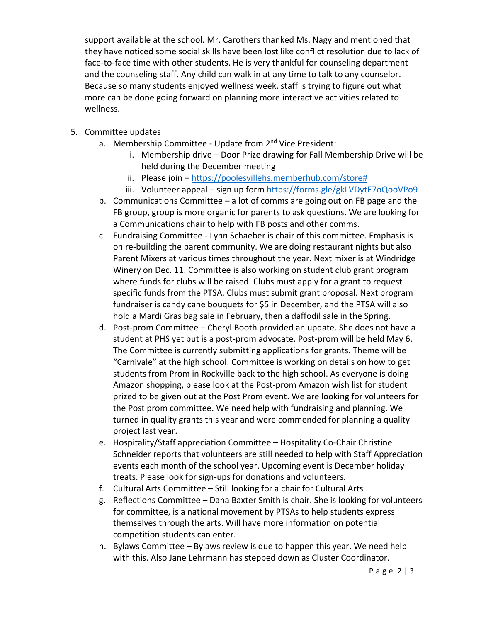support available at the school. Mr. Carothers thanked Ms. Nagy and mentioned that they have noticed some social skills have been lost like conflict resolution due to lack of face-to-face time with other students. He is very thankful for counseling department and the counseling staff. Any child can walk in at any time to talk to any counselor. Because so many students enjoyed wellness week, staff is trying to figure out what more can be done going forward on planning more interactive activities related to wellness.

- 5. Committee updates
	- a. Membership Committee Update from 2<sup>nd</sup> Vice President:
		- i. Membership drive Door Prize drawing for Fall Membership Drive will be held during the December meeting
		- ii. Please join [https://poolesvillehs.memberhub.com/store#](https://poolesvillehs.memberhub.com/store)
		- iii. Volunteer appeal sign up form<https://forms.gle/gkLVDytE7oQooVPo9>
	- b. Communications Committee a lot of comms are going out on FB page and the FB group, group is more organic for parents to ask questions. We are looking for a Communications chair to help with FB posts and other comms.
	- c. Fundraising Committee Lynn Schaeber is chair of this committee. Emphasis is on re-building the parent community. We are doing restaurant nights but also Parent Mixers at various times throughout the year. Next mixer is at Windridge Winery on Dec. 11. Committee is also working on student club grant program where funds for clubs will be raised. Clubs must apply for a grant to request specific funds from the PTSA. Clubs must submit grant proposal. Next program fundraiser is candy cane bouquets for \$5 in December, and the PTSA will also hold a Mardi Gras bag sale in February, then a daffodil sale in the Spring.
	- d. Post-prom Committee Cheryl Booth provided an update. She does not have a student at PHS yet but is a post-prom advocate. Post-prom will be held May 6. The Committee is currently submitting applications for grants. Theme will be "Carnivale" at the high school. Committee is working on details on how to get students from Prom in Rockville back to the high school. As everyone is doing Amazon shopping, please look at the Post-prom Amazon wish list for student prized to be given out at the Post Prom event. We are looking for volunteers for the Post prom committee. We need help with fundraising and planning. We turned in quality grants this year and were commended for planning a quality project last year.
	- e. Hospitality/Staff appreciation Committee Hospitality Co-Chair Christine Schneider reports that volunteers are still needed to help with Staff Appreciation events each month of the school year. Upcoming event is December holiday treats. Please look for sign-ups for donations and volunteers.
	- f. Cultural Arts Committee Still looking for a chair for Cultural Arts
	- g. Reflections Committee Dana Baxter Smith is chair. She is looking for volunteers for committee, is a national movement by PTSAs to help students express themselves through the arts. Will have more information on potential competition students can enter.
	- h. Bylaws Committee Bylaws review is due to happen this year. We need help with this. Also Jane Lehrmann has stepped down as Cluster Coordinator.